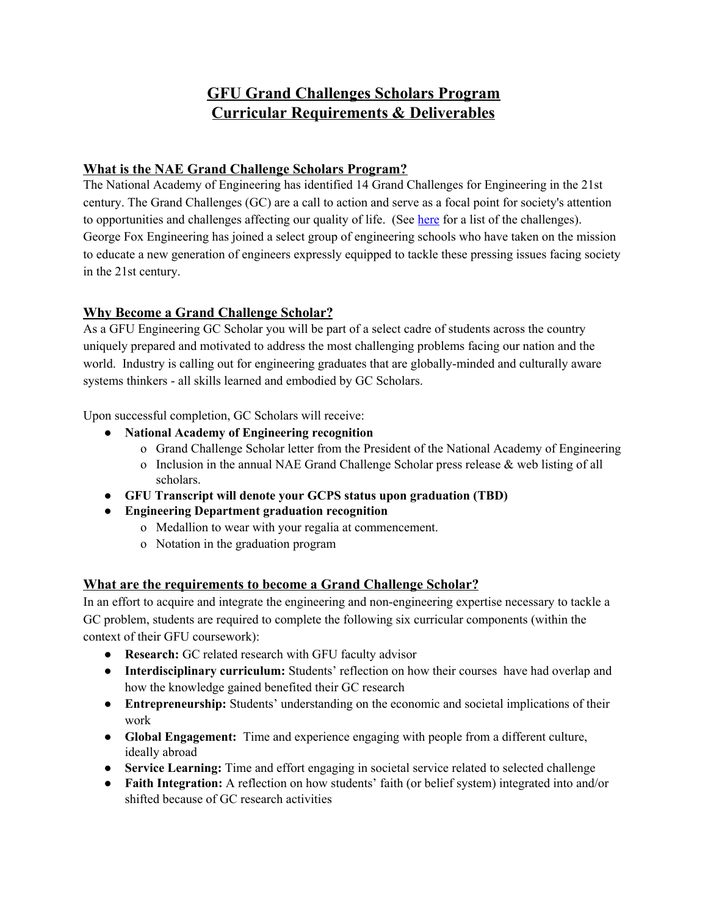# **GFU Grand Challenges Scholars Program Curricular Requirements & Deliverables**

#### **What is the NAE Grand Challenge Scholars Program?**

The National Academy of Engineering has identified 14 Grand Challenges for Engineering in the 21st century. The Grand Challenges (GC) are a call to action and serve as a focal point for society's attention to opportunities and challenges affecting our quality of life. (See [here](http://www.engineeringchallenges.org/challenges.aspx) for a list of the challenges). George Fox Engineering has joined a select group of engineering schools who have taken on the mission to educate a new generation of engineers expressly equipped to tackle these pressing issues facing society in the 21st century.

### **Why Become a Grand Challenge Scholar?**

As a GFU Engineering GC Scholar you will be part of a select cadre of students across the country uniquely prepared and motivated to address the most challenging problems facing our nation and the world. Industry is calling out for engineering graduates that are globally-minded and culturally aware systems thinkers - all skills learned and embodied by GC Scholars.

Upon successful completion, GC Scholars will receive:

- **● National Academy of Engineering recognition**
	- o Grand Challenge Scholar letter from the President of the National Academy of Engineering
	- o Inclusion in the annual NAE Grand Challenge Scholar press release & web listing of all scholars.
- **● GFU Transcript will denote your GCPS status upon graduation (TBD)**
- **● Engineering Department graduation recognition**
	- o Medallion to wear with your regalia at commencement.
	- o Notation in the graduation program

### **What are the requirements to become a Grand Challenge Scholar?**

In an effort to acquire and integrate the engineering and non-engineering expertise necessary to tackle a GC problem, students are required to complete the following six curricular components (within the context of their GFU coursework):

- **Research:** GC related research with GFU faculty advisor
- **Interdisciplinary curriculum:** Students' reflection on how their courses have had overlap and how the knowledge gained benefited their GC research
- **Entrepreneurship:** Students' understanding on the economic and societal implications of their work
- **Global Engagement:** Time and experience engaging with people from a different culture, ideally abroad
- **Service Learning:** Time and effort engaging in societal service related to selected challenge
- **Faith Integration:** A reflection on how students' faith (or belief system) integrated into and/or shifted because of GC research activities